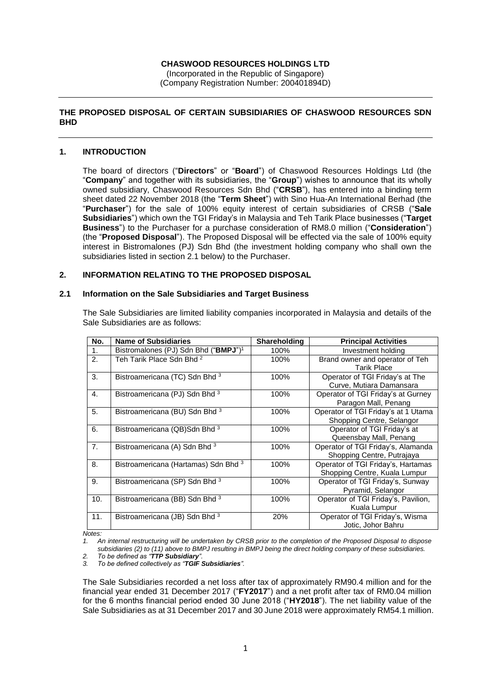# **CHASWOOD RESOURCES HOLDINGS LTD**

(Incorporated in the Republic of Singapore) (Company Registration Number: 200401894D)

# **THE PROPOSED DISPOSAL OF CERTAIN SUBSIDIARIES OF CHASWOOD RESOURCES SDN BHD**

## **1. INTRODUCTION**

The board of directors ("**Directors**" or "**Board**") of Chaswood Resources Holdings Ltd (the "**Company**" and together with its subsidiaries, the "**Group**") wishes to announce that its wholly owned subsidiary, Chaswood Resources Sdn Bhd ("**CRSB**"), has entered into a binding term sheet dated 22 November 2018 (the "**Term Sheet**") with Sino Hua-An International Berhad (the "**Purchaser**") for the sale of 100% equity interest of certain subsidiaries of CRSB ("**Sale Subsidiaries**") which own the TGI Friday's in Malaysia and Teh Tarik Place businesses ("**Target Business**") to the Purchaser for a purchase consideration of RM8.0 million ("**Consideration**") (the "**Proposed Disposal**"). The Proposed Disposal will be effected via the sale of 100% equity interest in Bistromalones (PJ) Sdn Bhd (the investment holding company who shall own the subsidiaries listed in section 2.1 below) to the Purchaser.

## **2. INFORMATION RELATING TO THE PROPOSED DISPOSAL**

#### **2.1 Information on the Sale Subsidiaries and Target Business**

The Sale Subsidiaries are limited liability companies incorporated in Malaysia and details of the Sale Subsidiaries are as follows:

| No.            | <b>Name of Subsidiaries</b>                      | <b>Shareholding</b> | <b>Principal Activities</b>                                         |
|----------------|--------------------------------------------------|---------------------|---------------------------------------------------------------------|
| 1.             | Bistromalones (PJ) Sdn Bhd ("BMPJ") <sup>1</sup> | 100%                | Investment holding                                                  |
| 2.             | Teh Tarik Place Sdn Bhd <sup>2</sup>             | 100%                | Brand owner and operator of Teh<br><b>Tarik Place</b>               |
| 3.             | Bistroamericana (TC) Sdn Bhd 3                   | 100%                | Operator of TGI Friday's at The<br>Curve, Mutiara Damansara         |
| $\mathbf{4}$ . | Bistroamericana (PJ) Sdn Bhd 3                   | 100%                | Operator of TGI Friday's at Gurney<br>Paragon Mall, Penang          |
| 5.             | Bistroamericana (BU) Sdn Bhd 3                   | 100%                | Operator of TGI Friday's at 1 Utama<br>Shopping Centre, Selangor    |
| 6.             | Bistroamericana (QB)Sdn Bhd 3                    | 100%                | Operator of TGI Friday's at<br>Queensbay Mall, Penang               |
| 7 <sub>1</sub> | Bistroamericana (A) Sdn Bhd 3                    | 100%                | Operator of TGI Friday's, Alamanda<br>Shopping Centre, Putrajaya    |
| 8.             | Bistroamericana (Hartamas) Sdn Bhd 3             | 100%                | Operator of TGI Friday's, Hartamas<br>Shopping Centre, Kuala Lumpur |
| 9.             | Bistroamericana (SP) Sdn Bhd 3                   | 100%                | Operator of TGI Friday's, Sunway<br>Pyramid, Selangor               |
| 10.            | Bistroamericana (BB) Sdn Bhd 3                   | 100%                | Operator of TGI Friday's, Pavilion,<br>Kuala Lumpur                 |
| 11.            | Bistroamericana (JB) Sdn Bhd 3                   | 20%                 | Operator of TGI Friday's, Wisma<br>Jotic, Johor Bahru               |

*Notes:*

*1. An internal restructuring will be undertaken by CRSB prior to the completion of the Proposed Disposal to dispose subsidiaries (2) to (11) above to BMPJ resulting in BMPJ being the direct holding company of these subsidiaries.*

*2. To be defined as "TTP Subsidiary".*

*3. To be defined collectively as "TGIF Subsidiaries".*

The Sale Subsidiaries recorded a net loss after tax of approximately RM90.4 million and for the financial year ended 31 December 2017 ("**FY2017**") and a net profit after tax of RM0.04 million for the 6 months financial period ended 30 June 2018 ("**HY2018**"). The net liability value of the Sale Subsidiaries as at 31 December 2017 and 30 June 2018 were approximately RM54.1 million.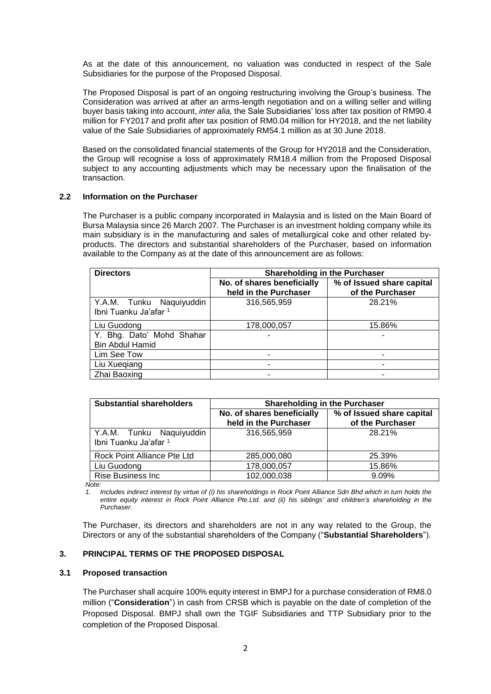As at the date of this announcement, no valuation was conducted in respect of the Sale Subsidiaries for the purpose of the Proposed Disposal.

The Proposed Disposal is part of an ongoing restructuring involving the Group's business. The Consideration was arrived at after an arms-length negotiation and on a willing seller and willing buyer basis taking into account, *inter alia,* the Sale Subsidiaries' loss after tax position of RM90.4 million for FY2017 and profit after tax position of RM0.04 million for HY2018, and the net liability value of the Sale Subsidiaries of approximately RM54.1 million as at 30 June 2018.

Based on the consolidated financial statements of the Group for HY2018 and the Consideration, the Group will recognise a loss of approximately RM18.4 million from the Proposed Disposal subject to any accounting adjustments which may be necessary upon the finalisation of the transaction.

# **2.2 Information on the Purchaser**

The Purchaser is a public company incorporated in Malaysia and is listed on the Main Board of Bursa Malaysia since 26 March 2007. The Purchaser is an investment holding company while its main subsidiary is in the manufacturing and sales of metallurgical coke and other related byproducts. The directors and substantial shareholders of the Purchaser, based on information available to the Company as at the date of this announcement are as follows:

| <b>Directors</b>                                    | <b>Shareholding in the Purchaser</b>                |                                               |  |
|-----------------------------------------------------|-----------------------------------------------------|-----------------------------------------------|--|
|                                                     | No. of shares beneficially<br>held in the Purchaser | % of Issued share capital<br>of the Purchaser |  |
| Y.A.M. Tunku Naquiyuddin<br>Ibni Tuanku Ja'afar 1   | 316,565,959                                         | 28.21%                                        |  |
| Liu Guodong                                         | 178,000,057                                         | 15.86%                                        |  |
| Y. Bhg. Dato' Mohd Shahar<br><b>Bin Abdul Hamid</b> |                                                     |                                               |  |
| Lim See Tow                                         |                                                     |                                               |  |
| Liu Xuegiang                                        | ۰                                                   |                                               |  |
| Zhai Baoxing                                        |                                                     |                                               |  |

| <b>Substantial shareholders</b>                   | <b>Shareholding in the Purchaser</b>                |                                               |
|---------------------------------------------------|-----------------------------------------------------|-----------------------------------------------|
|                                                   | No. of shares beneficially<br>held in the Purchaser | % of Issued share capital<br>of the Purchaser |
| Y.A.M. Tunku Naquiyuddin<br>Ibni Tuanku Ja'afar 1 | 316,565,959                                         | 28.21%                                        |
| Rock Point Alliance Pte Ltd                       | 285,000,080                                         | 25.39%                                        |
| Liu Guodong                                       | 178,000,057                                         | 15.86%                                        |
| <b>Rise Business Inc</b>                          | 102,000,038                                         | 9.09%                                         |

*Note:*

*1. Includes indirect interest by virtue of (i) his shareholdings in Rock Point Alliance Sdn Bhd which in turn holds the entire equity interest in Rock Point Alliance Pte.Ltd. and (ii) his siblings' and children's shareholding in the Purchaser.*

The Purchaser, its directors and shareholders are not in any way related to the Group, the Directors or any of the substantial shareholders of the Company ("**Substantial Shareholders**").

## **3. PRINCIPAL TERMS OF THE PROPOSED DISPOSAL**

# **3.1 Proposed transaction**

The Purchaser shall acquire 100% equity interest in BMPJ for a purchase consideration of RM8.0 million ("**Consideration**") in cash from CRSB which is payable on the date of completion of the Proposed Disposal. BMPJ shall own the TGIF Subsidiaries and TTP Subsidiary prior to the completion of the Proposed Disposal.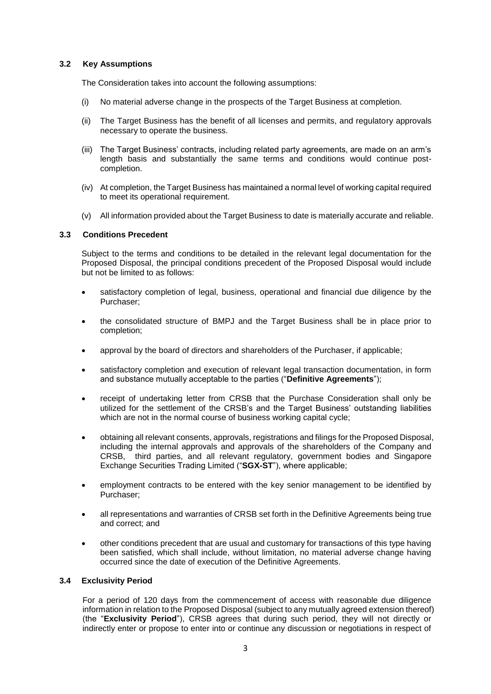# **3.2 Key Assumptions**

The Consideration takes into account the following assumptions:

- (i) No material adverse change in the prospects of the Target Business at completion.
- (ii) The Target Business has the benefit of all licenses and permits, and regulatory approvals necessary to operate the business.
- (iii) The Target Business' contracts, including related party agreements, are made on an arm's length basis and substantially the same terms and conditions would continue postcompletion.
- (iv) At completion, the Target Business has maintained a normal level of working capital required to meet its operational requirement.
- (v) All information provided about the Target Business to date is materially accurate and reliable.

# **3.3 Conditions Precedent**

Subject to the terms and conditions to be detailed in the relevant legal documentation for the Proposed Disposal, the principal conditions precedent of the Proposed Disposal would include but not be limited to as follows:

- satisfactory completion of legal, business, operational and financial due diligence by the Purchaser;
- the consolidated structure of BMPJ and the Target Business shall be in place prior to completion;
- approval by the board of directors and shareholders of the Purchaser, if applicable;
- satisfactory completion and execution of relevant legal transaction documentation, in form and substance mutually acceptable to the parties ("**Definitive Agreements**");
- receipt of undertaking letter from CRSB that the Purchase Consideration shall only be utilized for the settlement of the CRSB's and the Target Business' outstanding liabilities which are not in the normal course of business working capital cycle;
- obtaining all relevant consents, approvals, registrations and filings for the Proposed Disposal, including the internal approvals and approvals of the shareholders of the Company and CRSB, third parties, and all relevant regulatory, government bodies and Singapore Exchange Securities Trading Limited ("**SGX-ST**"), where applicable;
- employment contracts to be entered with the key senior management to be identified by Purchaser;
- all representations and warranties of CRSB set forth in the Definitive Agreements being true and correct; and
- other conditions precedent that are usual and customary for transactions of this type having been satisfied, which shall include, without limitation, no material adverse change having occurred since the date of execution of the Definitive Agreements.

# **3.4 Exclusivity Period**

For a period of 120 days from the commencement of access with reasonable due diligence information in relation to the Proposed Disposal (subject to any mutually agreed extension thereof) (the "**Exclusivity Period**"), CRSB agrees that during such period, they will not directly or indirectly enter or propose to enter into or continue any discussion or negotiations in respect of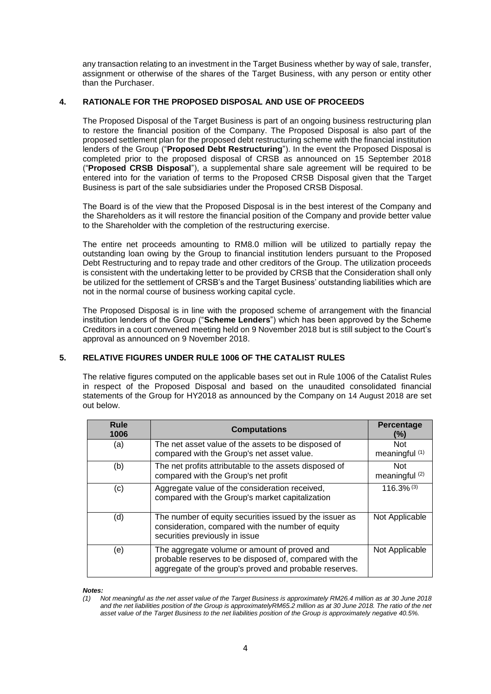any transaction relating to an investment in the Target Business whether by way of sale, transfer, assignment or otherwise of the shares of the Target Business, with any person or entity other than the Purchaser.

# **4. RATIONALE FOR THE PROPOSED DISPOSAL AND USE OF PROCEEDS**

The Proposed Disposal of the Target Business is part of an ongoing business restructuring plan to restore the financial position of the Company. The Proposed Disposal is also part of the proposed settlement plan for the proposed debt restructuring scheme with the financial institution lenders of the Group ("**Proposed Debt Restructuring**"). In the event the Proposed Disposal is completed prior to the proposed disposal of CRSB as announced on 15 September 2018 ("**Proposed CRSB Disposal**"), a supplemental share sale agreement will be required to be entered into for the variation of terms to the Proposed CRSB Disposal given that the Target Business is part of the sale subsidiaries under the Proposed CRSB Disposal.

The Board is of the view that the Proposed Disposal is in the best interest of the Company and the Shareholders as it will restore the financial position of the Company and provide better value to the Shareholder with the completion of the restructuring exercise.

The entire net proceeds amounting to RM8.0 million will be utilized to partially repay the outstanding loan owing by the Group to financial institution lenders pursuant to the Proposed Debt Restructuring and to repay trade and other creditors of the Group. The utilization proceeds is consistent with the undertaking letter to be provided by CRSB that the Consideration shall only be utilized for the settlement of CRSB's and the Target Business' outstanding liabilities which are not in the normal course of business working capital cycle.

The Proposed Disposal is in line with the proposed scheme of arrangement with the financial institution lenders of the Group ("**Scheme Lenders**") which has been approved by the Scheme Creditors in a court convened meeting held on 9 November 2018 but is still subject to the Court's approval as announced on 9 November 2018.

# **5. RELATIVE FIGURES UNDER RULE 1006 OF THE CATALIST RULES**

The relative figures computed on the applicable bases set out in Rule 1006 of the Catalist Rules in respect of the Proposed Disposal and based on the unaudited consolidated financial statements of the Group for HY2018 as announced by the Company on 14 August 2018 are set out below.

| <b>Rule</b><br>1006 | <b>Computations</b>                                                                                                                                              | <b>Percentage</b><br>(%)     |
|---------------------|------------------------------------------------------------------------------------------------------------------------------------------------------------------|------------------------------|
| (a)                 | The net asset value of the assets to be disposed of<br>compared with the Group's net asset value.                                                                | <b>Not</b><br>meaningful (1) |
| (b)                 | The net profits attributable to the assets disposed of<br>compared with the Group's net profit                                                                   | <b>Not</b><br>meaningful (2) |
| (c)                 | Aggregate value of the consideration received,<br>compared with the Group's market capitalization                                                                | $116.3\%$ <sup>(3)</sup>     |
| (d)                 | The number of equity securities issued by the issuer as<br>consideration, compared with the number of equity<br>securities previously in issue                   | Not Applicable               |
| (e)                 | The aggregate volume or amount of proved and<br>probable reserves to be disposed of, compared with the<br>aggregate of the group's proved and probable reserves. | Not Applicable               |

*Notes:*

*<sup>(1)</sup> Not meaningful as the net asset value of the Target Business is approximately RM26.4 million as at 30 June 2018 and the net liabilities position of the Group is approximatelyRM65.2 million as at 30 June 2018. The ratio of the net asset value of the Target Business to the net liabilities position of the Group is approximately negative 40.5%.*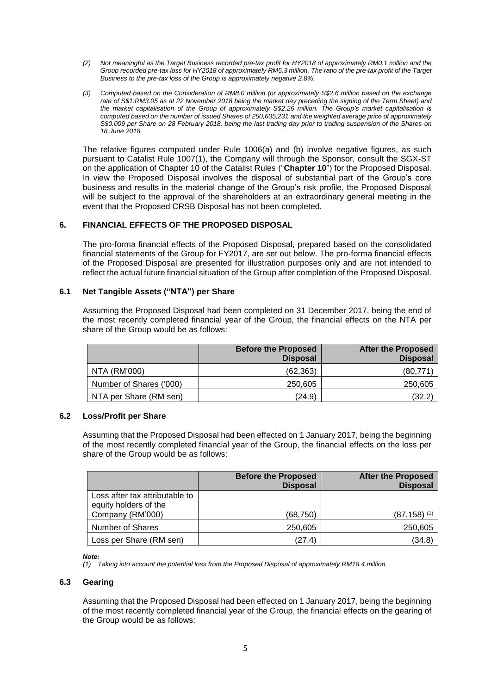- *(2) Not meaningful as the Target Business recorded pre-tax profit for HY2018 of approximately RM0.1 million and the Group recorded pre-tax loss for HY2018 of approximately RM5.3 million. The ratio of the pre-tax profit of the Target Business to the pre-tax loss of the Group is approximately negative 2.8%.*
- *(3) Computed based on the Consideration of RM8.0 million (or approximately S\$2.6 million based on the exchange rate of S\$1:RM3.05 as at 22 November 2018 being the market day preceding the signing of the Term Sheet) and the market capitalisation of the Group of approximately S\$2.26 million. The Group's market capitalisation is computed based on the number of issued Shares of 250,605,231 and the weighted average price of approximately S\$0.009 per Share on 28 February 2018, being the last trading day prior to trading suspension of the Shares on 18 June 2018.*

The relative figures computed under Rule 1006(a) and (b) involve negative figures, as such pursuant to Catalist Rule 1007(1), the Company will through the Sponsor, consult the SGX-ST on the application of Chapter 10 of the Catalist Rules ("**Chapter 10**") for the Proposed Disposal. In view the Proposed Disposal involves the disposal of substantial part of the Group's core business and results in the material change of the Group's risk profile, the Proposed Disposal will be subject to the approval of the shareholders at an extraordinary general meeting in the event that the Proposed CRSB Disposal has not been completed.

# **6. FINANCIAL EFFECTS OF THE PROPOSED DISPOSAL**

The pro-forma financial effects of the Proposed Disposal, prepared based on the consolidated financial statements of the Group for FY2017, are set out below. The pro-forma financial effects of the Proposed Disposal are presented for illustration purposes only and are not intended to reflect the actual future financial situation of the Group after completion of the Proposed Disposal.

### **6.1 Net Tangible Assets ("NTA") per Share**

Assuming the Proposed Disposal had been completed on 31 December 2017, being the end of the most recently completed financial year of the Group, the financial effects on the NTA per share of the Group would be as follows:

|                         | <b>Before the Proposed</b><br><b>Disposal</b> | <b>After the Proposed</b><br><b>Disposal</b> |
|-------------------------|-----------------------------------------------|----------------------------------------------|
| NTA (RM'000)            | (62,363)                                      | (80, 771)                                    |
| Number of Shares ('000) | 250.605                                       | 250,605                                      |
| NTA per Share (RM sen)  | (24.9)                                        | (32.2)                                       |

### **6.2 Loss/Profit per Share**

Assuming that the Proposed Disposal had been effected on 1 January 2017, being the beginning of the most recently completed financial year of the Group, the financial effects on the loss per share of the Group would be as follows:

|                                                         | <b>Before the Proposed</b><br><b>Disposal</b> | <b>After the Proposed</b><br><b>Disposal</b> |
|---------------------------------------------------------|-----------------------------------------------|----------------------------------------------|
| Loss after tax attributable to<br>equity holders of the |                                               |                                              |
| Company (RM'000)                                        | (68,750)                                      | (87,158) <sup>(1)</sup>                      |
| Number of Shares                                        | 250,605                                       | 250,605                                      |
| Loss per Share (RM sen)                                 | (27.4)                                        | (34.8)                                       |

#### *Note:*

*(1) Taking into account the potential loss from the Proposed Disposal of approximately RM18.4 million.* 

### **6.3 Gearing**

Assuming that the Proposed Disposal had been effected on 1 January 2017, being the beginning of the most recently completed financial year of the Group, the financial effects on the gearing of the Group would be as follows: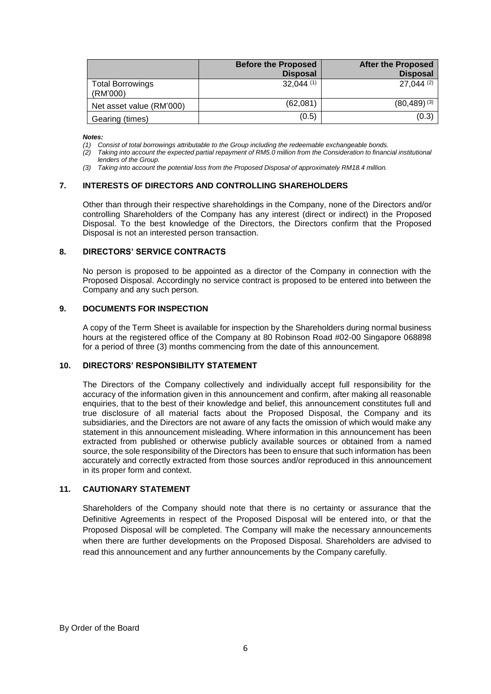|                                     | <b>Before the Proposed</b><br><b>Disposal</b> | <b>After the Proposed</b><br><b>Disposal</b> |
|-------------------------------------|-----------------------------------------------|----------------------------------------------|
| <b>Total Borrowings</b><br>(RM'000) | 32.044(1)                                     | $27.044$ (2)                                 |
| Net asset value (RM'000)            | (62,081)                                      | $(80, 489)$ (3)                              |
| Gearing (times)                     | (0.5)                                         | (0.3)                                        |

*Notes:*

*(1) Consist of total borrowings attributable to the Group including the redeemable exchangeable bonds.* 

- *(2) Taking into account the expected partial repayment of RM5.0 million from the Consideration to financial institutional lenders of the Group.*
- *(3) Taking into account the potential loss from the Proposed Disposal of approximately RM18.4 million.*

# **7. INTERESTS OF DIRECTORS AND CONTROLLING SHAREHOLDERS**

Other than through their respective shareholdings in the Company, none of the Directors and/or controlling Shareholders of the Company has any interest (direct or indirect) in the Proposed Disposal. To the best knowledge of the Directors, the Directors confirm that the Proposed Disposal is not an interested person transaction.

#### **8. DIRECTORS' SERVICE CONTRACTS**

No person is proposed to be appointed as a director of the Company in connection with the Proposed Disposal. Accordingly no service contract is proposed to be entered into between the Company and any such person.

#### **9. DOCUMENTS FOR INSPECTION**

A copy of the Term Sheet is available for inspection by the Shareholders during normal business hours at the registered office of the Company at 80 Robinson Road #02-00 Singapore 068898 for a period of three (3) months commencing from the date of this announcement.

### **10. DIRECTORS' RESPONSIBILITY STATEMENT**

The Directors of the Company collectively and individually accept full responsibility for the accuracy of the information given in this announcement and confirm, after making all reasonable enquiries, that to the best of their knowledge and belief, this announcement constitutes full and true disclosure of all material facts about the Proposed Disposal, the Company and its subsidiaries, and the Directors are not aware of any facts the omission of which would make any statement in this announcement misleading. Where information in this announcement has been extracted from published or otherwise publicly available sources or obtained from a named source, the sole responsibility of the Directors has been to ensure that such information has been accurately and correctly extracted from those sources and/or reproduced in this announcement in its proper form and context.

### **11. CAUTIONARY STATEMENT**

Shareholders of the Company should note that there is no certainty or assurance that the Definitive Agreements in respect of the Proposed Disposal will be entered into, or that the Proposed Disposal will be completed. The Company will make the necessary announcements when there are further developments on the Proposed Disposal. Shareholders are advised to read this announcement and any further announcements by the Company carefully.